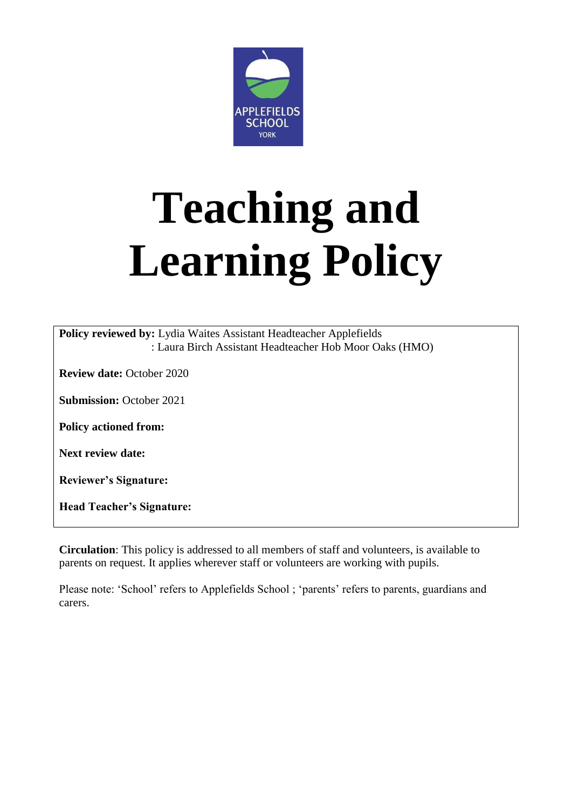

# **Teaching and Learning Policy**

**Policy reviewed by:** Lydia Waites Assistant Headteacher Applefields : Laura Birch Assistant Headteacher Hob Moor Oaks (HMO)

**Review date:** October 2020

**Submission:** October 2021

**Policy actioned from:** 

**Next review date:**

**Reviewer's Signature:** 

**Head Teacher's Signature:**

**Circulation**: This policy is addressed to all members of staff and volunteers, is available to parents on request. It applies wherever staff or volunteers are working with pupils.

Please note: 'School' refers to Applefields School ; 'parents' refers to parents, guardians and carers.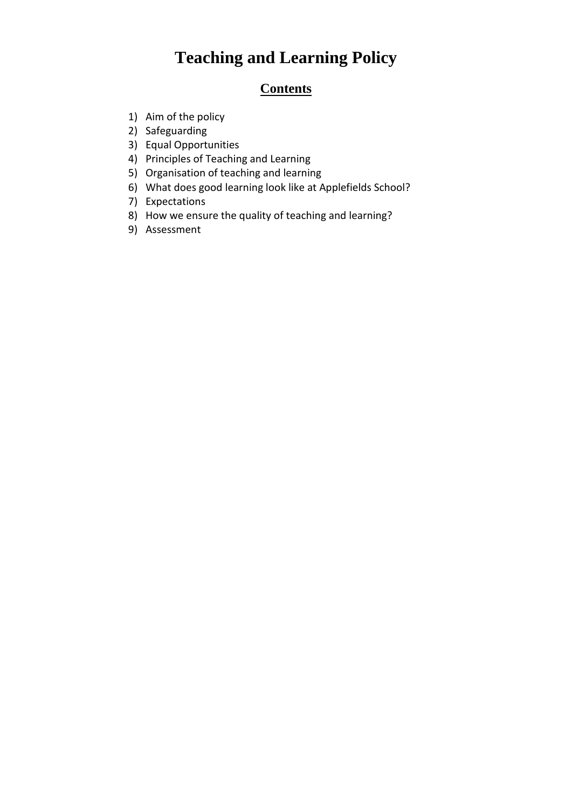## **Teaching and Learning Policy**

### **Contents**

- 1) Aim of the policy
- 2) Safeguarding
- 3) Equal Opportunities
- 4) Principles of Teaching and Learning
- 5) Organisation of teaching and learning
- 6) What does good learning look like at Applefields School?
- 7) Expectations
- 8) How we ensure the quality of teaching and learning?
- 9) Assessment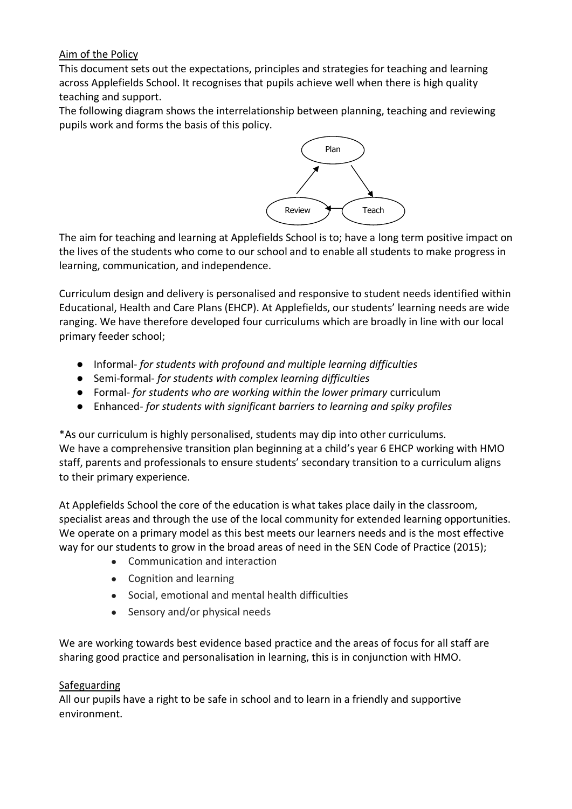#### Aim of the Policy

This document sets out the expectations, principles and strategies for teaching and learning across Applefields School. It recognises that pupils achieve well when there is high quality teaching and support.

The following diagram shows the interrelationship between planning, teaching and reviewing pupils work and forms the basis of this policy.



The aim for teaching and learning at Applefields School is to; have a long term positive impact on the lives of the students who come to our school and to enable all students to make progress in learning, communication, and independence.

Curriculum design and delivery is personalised and responsive to student needs identified within Educational, Health and Care Plans (EHCP). At Applefields, our students' learning needs are wide ranging. We have therefore developed four curriculums which are broadly in line with our local primary feeder school;

- Informal- *for students with profound and multiple learning difficulties*
- Semi-formal- *for students with complex learning difficulties*
- Formal- *for students who are working within the lower primary* curriculum
- Enhanced- *for students with significant barriers to learning and spiky profiles*

\*As our curriculum is highly personalised, students may dip into other curriculums. We have a comprehensive transition plan beginning at a child's year 6 EHCP working with HMO staff, parents and professionals to ensure students' secondary transition to a curriculum aligns to their primary experience.

At Applefields School the core of the education is what takes place daily in the classroom, specialist areas and through the use of the local community for extended learning opportunities. We operate on a primary model as this best meets our learners needs and is the most effective way for our students to grow in the broad areas of need in the SEN Code of Practice (2015);

- Communication and interaction
- Cognition and learning
- Social, emotional and mental health difficulties
- Sensory and/or physical needs

We are working towards best evidence based practice and the areas of focus for all staff are sharing good practice and personalisation in learning, this is in conjunction with HMO.

#### Safeguarding

All our pupils have a right to be safe in school and to learn in a friendly and supportive environment.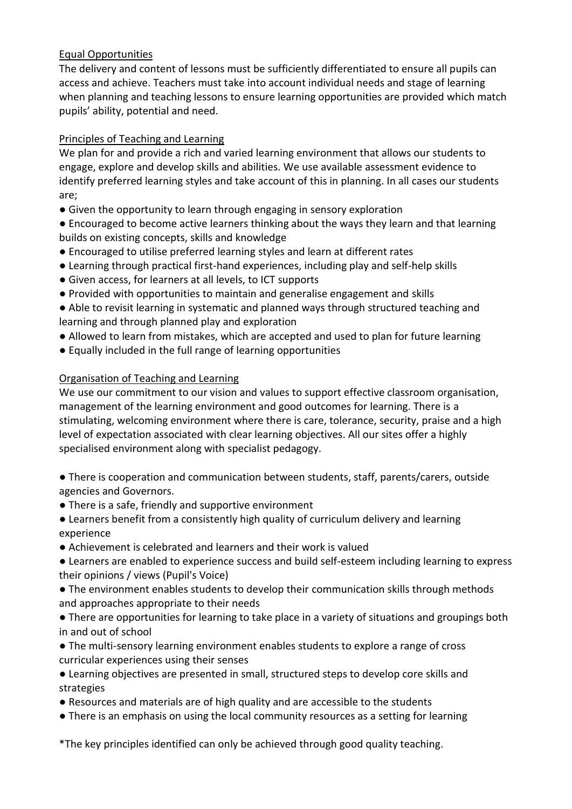#### Equal Opportunities

The delivery and content of lessons must be sufficiently differentiated to ensure all pupils can access and achieve. Teachers must take into account individual needs and stage of learning when planning and teaching lessons to ensure learning opportunities are provided which match pupils' ability, potential and need.

#### Principles of Teaching and Learning

We plan for and provide a rich and varied learning environment that allows our students to engage, explore and develop skills and abilities. We use available assessment evidence to identify preferred learning styles and take account of this in planning. In all cases our students are;

● Given the opportunity to learn through engaging in sensory exploration

● Encouraged to become active learners thinking about the ways they learn and that learning builds on existing concepts, skills and knowledge

- Encouraged to utilise preferred learning styles and learn at different rates
- Learning through practical first-hand experiences, including play and self-help skills
- Given access, for learners at all levels, to ICT supports
- Provided with opportunities to maintain and generalise engagement and skills
- Able to revisit learning in systematic and planned ways through structured teaching and learning and through planned play and exploration
- Allowed to learn from mistakes, which are accepted and used to plan for future learning
- Equally included in the full range of learning opportunities

#### Organisation of Teaching and Learning

We use our commitment to our vision and values to support effective classroom organisation, management of the learning environment and good outcomes for learning. There is a stimulating, welcoming environment where there is care, tolerance, security, praise and a high level of expectation associated with clear learning objectives. All our sites offer a highly specialised environment along with specialist pedagogy.

● There is cooperation and communication between students, staff, parents/carers, outside agencies and Governors.

- There is a safe, friendly and supportive environment
- Learners benefit from a consistently high quality of curriculum delivery and learning experience
- Achievement is celebrated and learners and their work is valued
- Learners are enabled to experience success and build self-esteem including learning to express their opinions / views (Pupil's Voice)
- The environment enables students to develop their communication skills through methods and approaches appropriate to their needs
- There are opportunities for learning to take place in a variety of situations and groupings both in and out of school
- The multi-sensory learning environment enables students to explore a range of cross curricular experiences using their senses
- Learning objectives are presented in small, structured steps to develop core skills and strategies
- Resources and materials are of high quality and are accessible to the students
- There is an emphasis on using the local community resources as a setting for learning

\*The key principles identified can only be achieved through good quality teaching.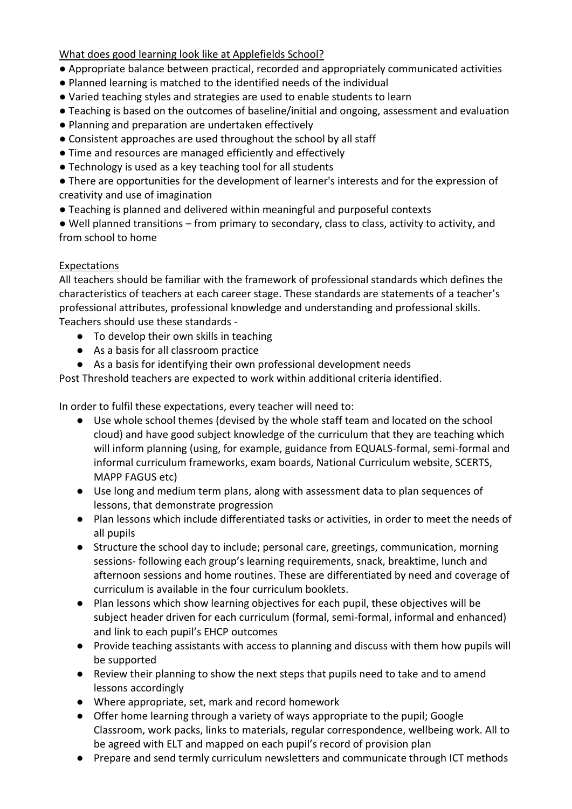What does good learning look like at Applefields School?

- Appropriate balance between practical, recorded and appropriately communicated activities
- Planned learning is matched to the identified needs of the individual
- Varied teaching styles and strategies are used to enable students to learn
- Teaching is based on the outcomes of baseline/initial and ongoing, assessment and evaluation
- Planning and preparation are undertaken effectively
- Consistent approaches are used throughout the school by all staff
- Time and resources are managed efficiently and effectively
- Technology is used as a key teaching tool for all students

● There are opportunities for the development of learner's interests and for the expression of creativity and use of imagination

● Teaching is planned and delivered within meaningful and purposeful contexts

● Well planned transitions – from primary to secondary, class to class, activity to activity, and from school to home

#### **Expectations**

All teachers should be familiar with the framework of professional standards which defines the characteristics of teachers at each career stage. These standards are statements of a teacher's professional attributes, professional knowledge and understanding and professional skills. Teachers should use these standards -

- To develop their own skills in teaching
- As a basis for all classroom practice
- As a basis for identifying their own professional development needs

Post Threshold teachers are expected to work within additional criteria identified.

In order to fulfil these expectations, every teacher will need to:

- Use whole school themes (devised by the whole staff team and located on the school cloud) and have good subject knowledge of the curriculum that they are teaching which will inform planning (using, for example, guidance from EQUALS-formal, semi-formal and informal curriculum frameworks, exam boards, National Curriculum website, SCERTS, MAPP FAGUS etc)
- Use long and medium term plans, along with assessment data to plan sequences of lessons, that demonstrate progression
- Plan lessons which include differentiated tasks or activities, in order to meet the needs of all pupils
- Structure the school day to include; personal care, greetings, communication, morning sessions- following each group's learning requirements, snack, breaktime, lunch and afternoon sessions and home routines. These are differentiated by need and coverage of curriculum is available in the four curriculum booklets.
- Plan lessons which show learning objectives for each pupil, these objectives will be subject header driven for each curriculum (formal, semi-formal, informal and enhanced) and link to each pupil's EHCP outcomes
- Provide teaching assistants with access to planning and discuss with them how pupils will be supported
- Review their planning to show the next steps that pupils need to take and to amend lessons accordingly
- Where appropriate, set, mark and record homework
- Offer home learning through a variety of ways appropriate to the pupil; Google Classroom, work packs, links to materials, regular correspondence, wellbeing work. All to be agreed with ELT and mapped on each pupil's record of provision plan
- Prepare and send termly curriculum newsletters and communicate through ICT methods